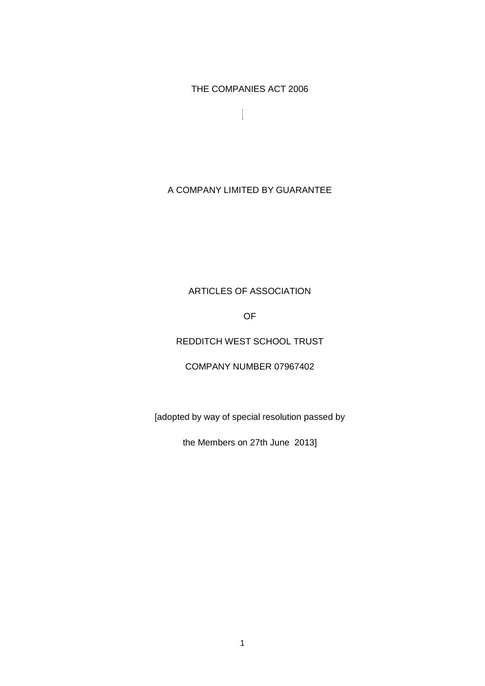THE COMPANIES ACT 2006

 $\overline{\mathbf{I}}$ 

# A COMPANY LIMITED BY GUARANTEE

# ARTICLES OF ASSOCIATION

OF

# REDDITCH WEST SCHOOL TRUST

### COMPANY NUMBER 07967402

[adopted by way of special resolution passed by

the Members on 27th June 2013]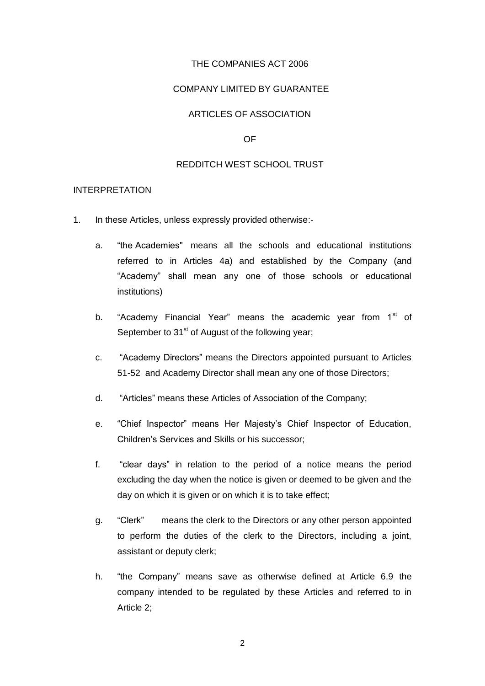#### THE COMPANIES ACT 2006

#### COMPANY LIMITED BY GUARANTEE

# ARTICLES OF ASSOCIATION

#### OF

#### REDDITCH WEST SCHOOL TRUST

#### INTERPRETATION

- 1. In these Articles, unless expressly provided otherwise:
	- a. "the Academies" means all the schools and educational institutions referred to in Articles 4a) and established by the Company (and "Academy" shall mean any one of those schools or educational institutions)
	- b. "Academy Financial Year" means the academic year from  $1<sup>st</sup>$  of September to  $31<sup>st</sup>$  of August of the following year;
	- c. "Academy Directors" means the Directors appointed pursuant to Articles 51-52 and Academy Director shall mean any one of those Directors;
	- d. "Articles" means these Articles of Association of the Company;
	- e. "Chief Inspector" means Her Majesty's Chief Inspector of Education, Children's Services and Skills or his successor;
	- f. "clear days" in relation to the period of a notice means the period excluding the day when the notice is given or deemed to be given and the day on which it is given or on which it is to take effect;
	- g. "Clerk" means the clerk to the Directors or any other person appointed to perform the duties of the clerk to the Directors, including a joint, assistant or deputy clerk;
	- h. "the Company" means save as otherwise defined at Article 6.9 the company intended to be regulated by these Articles and referred to in Article 2;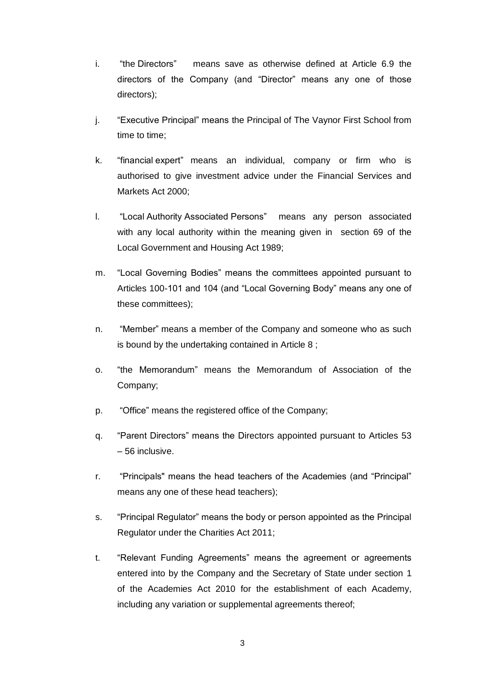- i. "the Directors" means save as otherwise defined at Article 6.9 the directors of the Company (and "Director" means any one of those directors);
- j. "Executive Principal" means the Principal of The Vaynor First School from time to time;
- k. "financial expert" means an individual, company or firm who is authorised to give investment advice under the Financial Services and Markets Act 2000;
- l. "Local Authority Associated Persons" means any person associated with any local authority within the meaning given in section 69 of the Local Government and Housing Act 1989;
- m. "Local Governing Bodies" means the committees appointed pursuant to Articles 100-101 and 104 (and "Local Governing Body" means any one of these committees);
- n. "Member" means a member of the Company and someone who as such is bound by the undertaking contained in Article 8 ;
- o. "the Memorandum" means the Memorandum of Association of the Company;
- p. "Office" means the registered office of the Company;
- q. "Parent Directors" means the Directors appointed pursuant to Articles 53 – 56 inclusive.
- r. "Principals" means the head teachers of the Academies (and "Principal" means any one of these head teachers);
- s. "Principal Regulator" means the body or person appointed as the Principal Regulator under the Charities Act 2011;
- t. "Relevant Funding Agreements" means the agreement or agreements entered into by the Company and the Secretary of State under section 1 of the Academies Act 2010 for the establishment of each Academy, including any variation or supplemental agreements thereof;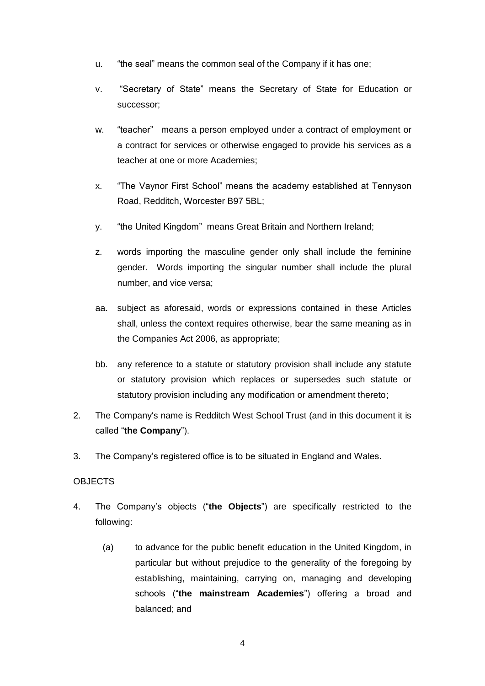- u. "the seal" means the common seal of the Company if it has one;
- v. "Secretary of State" means the Secretary of State for Education or successor;
- w. "teacher" means a person employed under a contract of employment or a contract for services or otherwise engaged to provide his services as a teacher at one or more Academies;
- x. "The Vaynor First School" means the academy established at Tennyson Road, Redditch, Worcester B97 5BL;
- y. "the United Kingdom" means Great Britain and Northern Ireland;
- z. words importing the masculine gender only shall include the feminine gender. Words importing the singular number shall include the plural number, and vice versa;
- aa. subject as aforesaid, words or expressions contained in these Articles shall, unless the context requires otherwise, bear the same meaning as in the Companies Act 2006, as appropriate;
- bb. any reference to a statute or statutory provision shall include any statute or statutory provision which replaces or supersedes such statute or statutory provision including any modification or amendment thereto;
- 2. The Company's name is Redditch West School Trust (and in this document it is called "**the Company**").
- 3. The Company's registered office is to be situated in England and Wales.

### **OBJECTS**

- 4. The Company's objects ("**the Objects**") are specifically restricted to the following:
	- (a) to advance for the public benefit education in the United Kingdom, in particular but without prejudice to the generality of the foregoing by establishing, maintaining, carrying on, managing and developing schools ("**the mainstream Academies**") offering a broad and balanced; and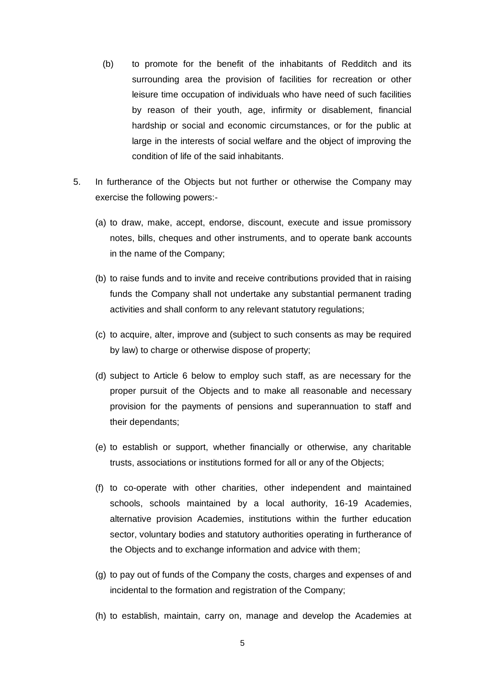- (b) to promote for the benefit of the inhabitants of Redditch and its surrounding area the provision of facilities for recreation or other leisure time occupation of individuals who have need of such facilities by reason of their youth, age, infirmity or disablement, financial hardship or social and economic circumstances, or for the public at large in the interests of social welfare and the object of improving the condition of life of the said inhabitants.
- 5. In furtherance of the Objects but not further or otherwise the Company may exercise the following powers:-
	- (a) to draw, make, accept, endorse, discount, execute and issue promissory notes, bills, cheques and other instruments, and to operate bank accounts in the name of the Company;
	- (b) to raise funds and to invite and receive contributions provided that in raising funds the Company shall not undertake any substantial permanent trading activities and shall conform to any relevant statutory regulations;
	- (c) to acquire, alter, improve and (subject to such consents as may be required by law) to charge or otherwise dispose of property;
	- (d) subject to Article 6 below to employ such staff, as are necessary for the proper pursuit of the Objects and to make all reasonable and necessary provision for the payments of pensions and superannuation to staff and their dependants;
	- (e) to establish or support, whether financially or otherwise, any charitable trusts, associations or institutions formed for all or any of the Objects;
	- (f) to co-operate with other charities, other independent and maintained schools, schools maintained by a local authority, 16-19 Academies, alternative provision Academies, institutions within the further education sector, voluntary bodies and statutory authorities operating in furtherance of the Objects and to exchange information and advice with them;
	- (g) to pay out of funds of the Company the costs, charges and expenses of and incidental to the formation and registration of the Company;
	- (h) to establish, maintain, carry on, manage and develop the Academies at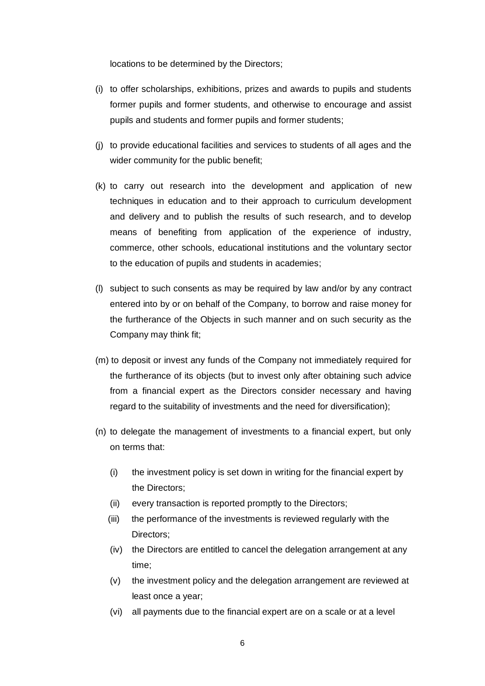locations to be determined by the Directors;

- (i) to offer scholarships, exhibitions, prizes and awards to pupils and students former pupils and former students, and otherwise to encourage and assist pupils and students and former pupils and former students;
- (j) to provide educational facilities and services to students of all ages and the wider community for the public benefit;
- (k) to carry out research into the development and application of new techniques in education and to their approach to curriculum development and delivery and to publish the results of such research, and to develop means of benefiting from application of the experience of industry, commerce, other schools, educational institutions and the voluntary sector to the education of pupils and students in academies;
- (l) subject to such consents as may be required by law and/or by any contract entered into by or on behalf of the Company, to borrow and raise money for the furtherance of the Objects in such manner and on such security as the Company may think fit;
- (m) to deposit or invest any funds of the Company not immediately required for the furtherance of its objects (but to invest only after obtaining such advice from a financial expert as the Directors consider necessary and having regard to the suitability of investments and the need for diversification);
- (n) to delegate the management of investments to a financial expert, but only on terms that:
	- (i) the investment policy is set down in writing for the financial expert by the Directors;
	- (ii) every transaction is reported promptly to the Directors;
	- (iii) the performance of the investments is reviewed regularly with the Directors;
	- (iv) the Directors are entitled to cancel the delegation arrangement at any time;
	- (v) the investment policy and the delegation arrangement are reviewed at least once a year;
	- (vi) all payments due to the financial expert are on a scale or at a level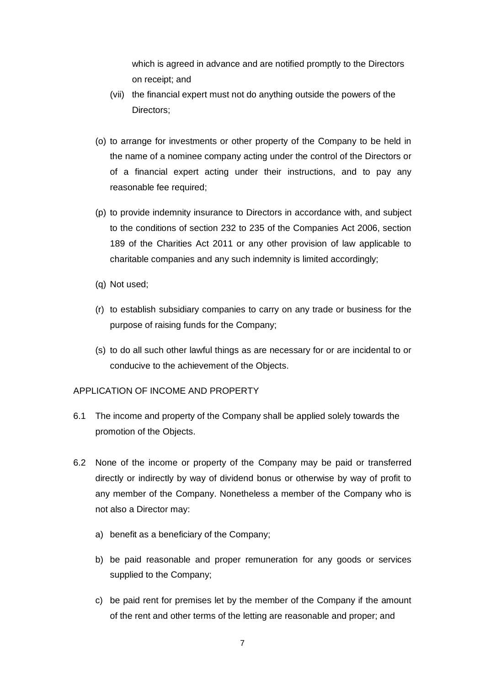which is agreed in advance and are notified promptly to the Directors on receipt; and

- (vii) the financial expert must not do anything outside the powers of the Directors:
- (o) to arrange for investments or other property of the Company to be held in the name of a nominee company acting under the control of the Directors or of a financial expert acting under their instructions, and to pay any reasonable fee required;
- (p) to provide indemnity insurance to Directors in accordance with, and subject to the conditions of section 232 to 235 of the Companies Act 2006, section 189 of the Charities Act 2011 or any other provision of law applicable to charitable companies and any such indemnity is limited accordingly;
- (q) Not used;
- (r) to establish subsidiary companies to carry on any trade or business for the purpose of raising funds for the Company;
- (s) to do all such other lawful things as are necessary for or are incidental to or conducive to the achievement of the Objects.

#### APPLICATION OF INCOME AND PROPERTY

- 6.1 The income and property of the Company shall be applied solely towards the promotion of the Objects.
- 6.2 None of the income or property of the Company may be paid or transferred directly or indirectly by way of dividend bonus or otherwise by way of profit to any member of the Company. Nonetheless a member of the Company who is not also a Director may:
	- a) benefit as a beneficiary of the Company;
	- b) be paid reasonable and proper remuneration for any goods or services supplied to the Company;
	- c) be paid rent for premises let by the member of the Company if the amount of the rent and other terms of the letting are reasonable and proper; and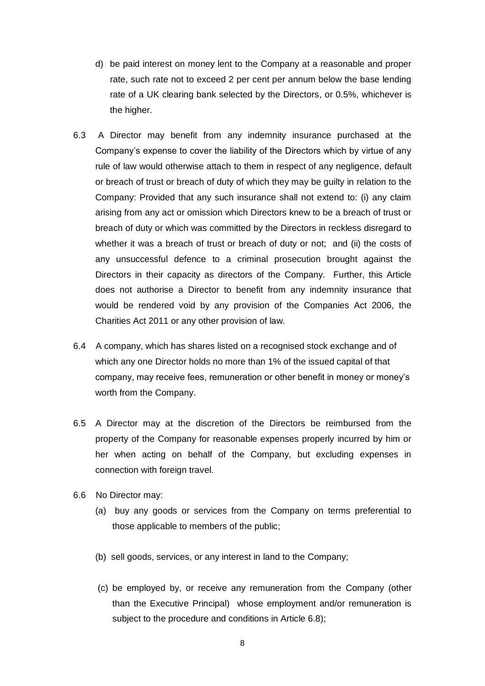- d) be paid interest on money lent to the Company at a reasonable and proper rate, such rate not to exceed 2 per cent per annum below the base lending rate of a UK clearing bank selected by the Directors, or 0.5%, whichever is the higher.
- 6.3 A Director may benefit from any indemnity insurance purchased at the Company's expense to cover the liability of the Directors which by virtue of any rule of law would otherwise attach to them in respect of any negligence, default or breach of trust or breach of duty of which they may be guilty in relation to the Company: Provided that any such insurance shall not extend to: (i) any claim arising from any act or omission which Directors knew to be a breach of trust or breach of duty or which was committed by the Directors in reckless disregard to whether it was a breach of trust or breach of duty or not; and (ii) the costs of any unsuccessful defence to a criminal prosecution brought against the Directors in their capacity as directors of the Company. Further, this Article does not authorise a Director to benefit from any indemnity insurance that would be rendered void by any provision of the Companies Act 2006, the Charities Act 2011 or any other provision of law.
- 6.4 A company, which has shares listed on a recognised stock exchange and of which any one Director holds no more than 1% of the issued capital of that company, may receive fees, remuneration or other benefit in money or money's worth from the Company.
- 6.5 A Director may at the discretion of the Directors be reimbursed from the property of the Company for reasonable expenses properly incurred by him or her when acting on behalf of the Company, but excluding expenses in connection with foreign travel.
- 6.6 No Director may:
	- (a) buy any goods or services from the Company on terms preferential to those applicable to members of the public;
	- (b) sell goods, services, or any interest in land to the Company;
	- (c) be employed by, or receive any remuneration from the Company (other than the Executive Principal) whose employment and/or remuneration is subject to the procedure and conditions in Article 6.8);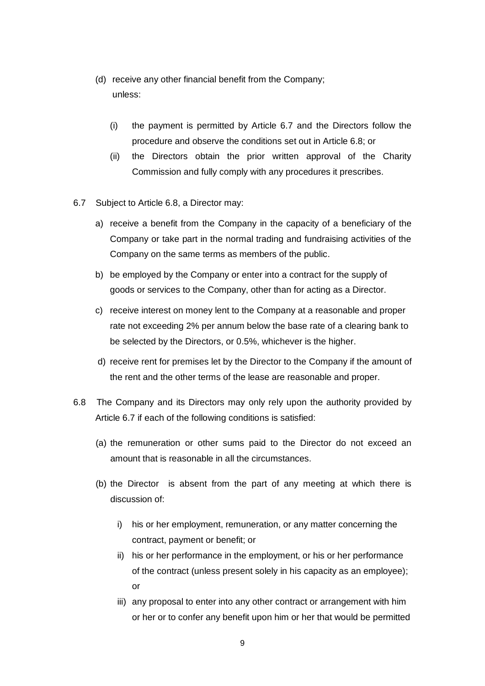- (d) receive any other financial benefit from the Company; unless:
	- (i) the payment is permitted by Article 6.7 and the Directors follow the procedure and observe the conditions set out in Article 6.8; or
	- (ii) the Directors obtain the prior written approval of the Charity Commission and fully comply with any procedures it prescribes.
- 6.7 Subject to Article 6.8, a Director may:
	- a) receive a benefit from the Company in the capacity of a beneficiary of the Company or take part in the normal trading and fundraising activities of the Company on the same terms as members of the public.
	- b) be employed by the Company or enter into a contract for the supply of goods or services to the Company, other than for acting as a Director.
	- c) receive interest on money lent to the Company at a reasonable and proper rate not exceeding 2% per annum below the base rate of a clearing bank to be selected by the Directors, or 0.5%, whichever is the higher.
	- d) receive rent for premises let by the Director to the Company if the amount of the rent and the other terms of the lease are reasonable and proper.
- 6.8 The Company and its Directors may only rely upon the authority provided by Article 6.7 if each of the following conditions is satisfied:
	- (a) the remuneration or other sums paid to the Director do not exceed an amount that is reasonable in all the circumstances.
	- (b) the Director is absent from the part of any meeting at which there is discussion of:
		- i) his or her employment, remuneration, or any matter concerning the contract, payment or benefit; or
		- ii) his or her performance in the employment, or his or her performance of the contract (unless present solely in his capacity as an employee); or
		- iii) any proposal to enter into any other contract or arrangement with him or her or to confer any benefit upon him or her that would be permitted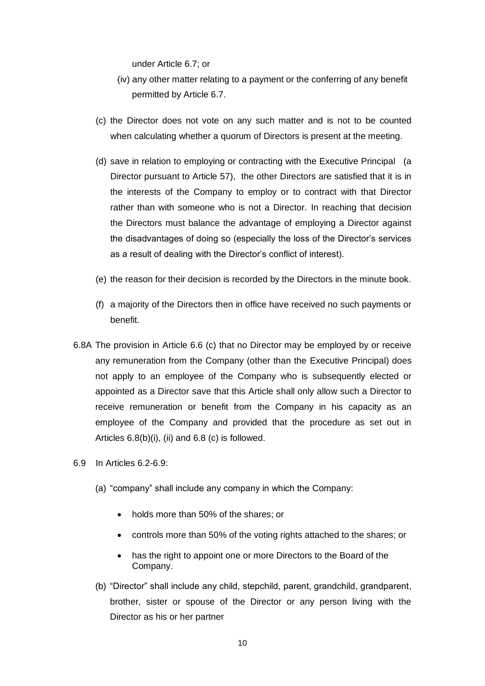under Article 6.7; or

- (iv) any other matter relating to a payment or the conferring of any benefit permitted by Article 6.7.
- (c) the Director does not vote on any such matter and is not to be counted when calculating whether a quorum of Directors is present at the meeting.
- (d) save in relation to employing or contracting with the Executive Principal (a Director pursuant to Article 57), the other Directors are satisfied that it is in the interests of the Company to employ or to contract with that Director rather than with someone who is not a Director. In reaching that decision the Directors must balance the advantage of employing a Director against the disadvantages of doing so (especially the loss of the Director's services as a result of dealing with the Director's conflict of interest).
- (e) the reason for their decision is recorded by the Directors in the minute book.
- (f) a majority of the Directors then in office have received no such payments or benefit.
- 6.8A The provision in Article 6.6 (c) that no Director may be employed by or receive any remuneration from the Company (other than the Executive Principal) does not apply to an employee of the Company who is subsequently elected or appointed as a Director save that this Article shall only allow such a Director to receive remuneration or benefit from the Company in his capacity as an employee of the Company and provided that the procedure as set out in Articles  $6.8(b)(i)$ , (ii) and  $6.8(c)$  is followed.
- 6.9 In Articles 6.2-6.9:
	- (a) "company" shall include any company in which the Company:
		- holds more than 50% of the shares; or
		- controls more than 50% of the voting rights attached to the shares; or
		- has the right to appoint one or more Directors to the Board of the Company.
	- (b) "Director" shall include any child, stepchild, parent, grandchild, grandparent, brother, sister or spouse of the Director or any person living with the Director as his or her partner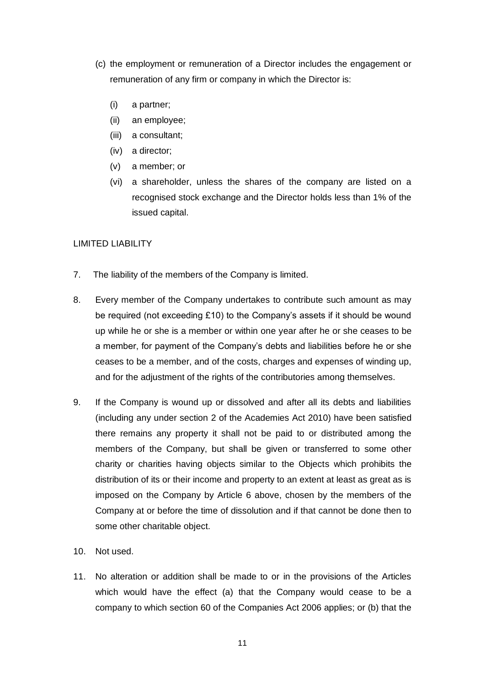- (c) the employment or remuneration of a Director includes the engagement or remuneration of any firm or company in which the Director is:
	- (i) a partner;
	- (ii) an employee;
	- (iii) a consultant;
	- (iv) a director;
	- (v) a member; or
	- (vi) a shareholder, unless the shares of the company are listed on a recognised stock exchange and the Director holds less than 1% of the issued capital.

### LIMITED LIABILITY

- 7. The liability of the members of the Company is limited.
- 8. Every member of the Company undertakes to contribute such amount as may be required (not exceeding £10) to the Company's assets if it should be wound up while he or she is a member or within one year after he or she ceases to be a member, for payment of the Company's debts and liabilities before he or she ceases to be a member, and of the costs, charges and expenses of winding up, and for the adjustment of the rights of the contributories among themselves.
- 9. If the Company is wound up or dissolved and after all its debts and liabilities (including any under section 2 of the Academies Act 2010) have been satisfied there remains any property it shall not be paid to or distributed among the members of the Company, but shall be given or transferred to some other charity or charities having objects similar to the Objects which prohibits the distribution of its or their income and property to an extent at least as great as is imposed on the Company by Article 6 above, chosen by the members of the Company at or before the time of dissolution and if that cannot be done then to some other charitable object.
- 10. Not used.
- 11. No alteration or addition shall be made to or in the provisions of the Articles which would have the effect (a) that the Company would cease to be a company to which section 60 of the Companies Act 2006 applies; or (b) that the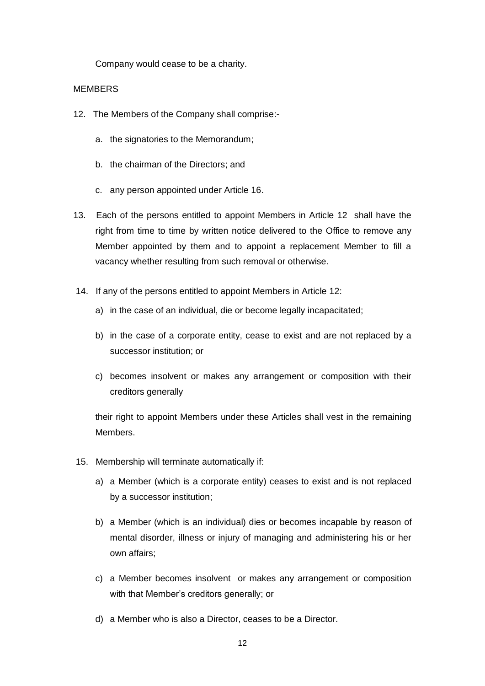Company would cease to be a charity.

#### MEMBERS

- 12. The Members of the Company shall comprise:
	- a. the signatories to the Memorandum;
	- b. the chairman of the Directors; and
	- c. any person appointed under Article 16.
- 13. Each of the persons entitled to appoint Members in Article 12 shall have the right from time to time by written notice delivered to the Office to remove any Member appointed by them and to appoint a replacement Member to fill a vacancy whether resulting from such removal or otherwise.
- 14. If any of the persons entitled to appoint Members in Article 12:
	- a) in the case of an individual, die or become legally incapacitated;
	- b) in the case of a corporate entity, cease to exist and are not replaced by a successor institution; or
	- c) becomes insolvent or makes any arrangement or composition with their creditors generally

their right to appoint Members under these Articles shall vest in the remaining Members.

- 15. Membership will terminate automatically if:
	- a) a Member (which is a corporate entity) ceases to exist and is not replaced by a successor institution;
	- b) a Member (which is an individual) dies or becomes incapable by reason of mental disorder, illness or injury of managing and administering his or her own affairs;
	- c) a Member becomes insolvent or makes any arrangement or composition with that Member's creditors generally; or
	- d) a Member who is also a Director, ceases to be a Director.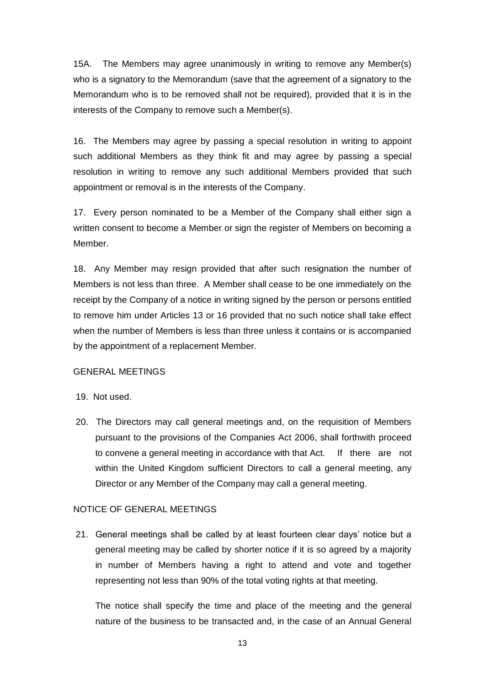15A. The Members may agree unanimously in writing to remove any Member(s) who is a signatory to the Memorandum (save that the agreement of a signatory to the Memorandum who is to be removed shall not be required), provided that it is in the interests of the Company to remove such a Member(s).

16. The Members may agree by passing a special resolution in writing to appoint such additional Members as they think fit and may agree by passing a special resolution in writing to remove any such additional Members provided that such appointment or removal is in the interests of the Company.

17. Every person nominated to be a Member of the Company shall either sign a written consent to become a Member or sign the register of Members on becoming a Member.

18. Any Member may resign provided that after such resignation the number of Members is not less than three. A Member shall cease to be one immediately on the receipt by the Company of a notice in writing signed by the person or persons entitled to remove him under Articles 13 or 16 provided that no such notice shall take effect when the number of Members is less than three unless it contains or is accompanied by the appointment of a replacement Member.

#### GENERAL MEETINGS

- 19. Not used.
- 20. The Directors may call general meetings and, on the requisition of Members pursuant to the provisions of the Companies Act 2006, shall forthwith proceed to convene a general meeting in accordance with that Act. If there are not within the United Kingdom sufficient Directors to call a general meeting, any Director or any Member of the Company may call a general meeting.

### NOTICE OF GENERAL MEETINGS

21. General meetings shall be called by at least fourteen clear days' notice but a general meeting may be called by shorter notice if it is so agreed by a majority in number of Members having a right to attend and vote and together representing not less than 90% of the total voting rights at that meeting.

The notice shall specify the time and place of the meeting and the general nature of the business to be transacted and, in the case of an Annual General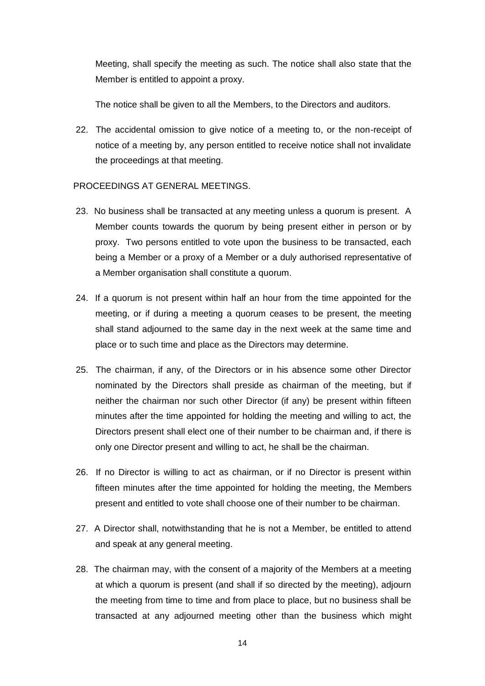Meeting, shall specify the meeting as such. The notice shall also state that the Member is entitled to appoint a proxy.

The notice shall be given to all the Members, to the Directors and auditors.

22. The accidental omission to give notice of a meeting to, or the non-receipt of notice of a meeting by, any person entitled to receive notice shall not invalidate the proceedings at that meeting.

#### PROCEEDINGS AT GENERAL MEETINGS.

- 23. No business shall be transacted at any meeting unless a quorum is present. A Member counts towards the quorum by being present either in person or by proxy. Two persons entitled to vote upon the business to be transacted, each being a Member or a proxy of a Member or a duly authorised representative of a Member organisation shall constitute a quorum.
- 24. If a quorum is not present within half an hour from the time appointed for the meeting, or if during a meeting a quorum ceases to be present, the meeting shall stand adjourned to the same day in the next week at the same time and place or to such time and place as the Directors may determine.
- 25. The chairman, if any, of the Directors or in his absence some other Director nominated by the Directors shall preside as chairman of the meeting, but if neither the chairman nor such other Director (if any) be present within fifteen minutes after the time appointed for holding the meeting and willing to act, the Directors present shall elect one of their number to be chairman and, if there is only one Director present and willing to act, he shall be the chairman.
- 26. If no Director is willing to act as chairman, or if no Director is present within fifteen minutes after the time appointed for holding the meeting, the Members present and entitled to vote shall choose one of their number to be chairman.
- 27. A Director shall, notwithstanding that he is not a Member, be entitled to attend and speak at any general meeting.
- 28. The chairman may, with the consent of a majority of the Members at a meeting at which a quorum is present (and shall if so directed by the meeting), adjourn the meeting from time to time and from place to place, but no business shall be transacted at any adjourned meeting other than the business which might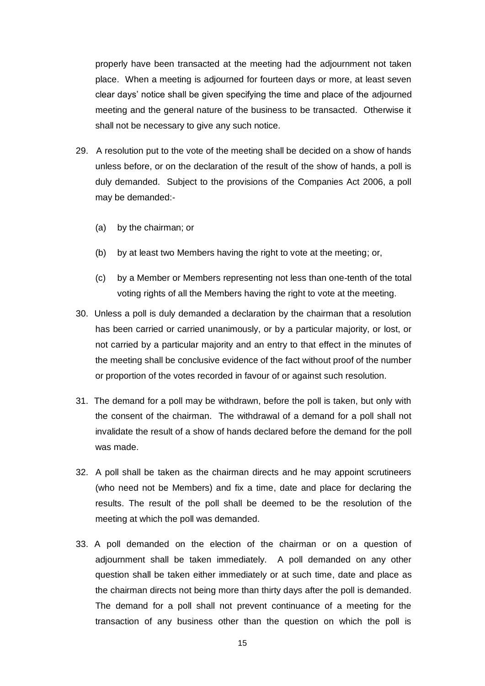properly have been transacted at the meeting had the adjournment not taken place. When a meeting is adjourned for fourteen days or more, at least seven clear days' notice shall be given specifying the time and place of the adjourned meeting and the general nature of the business to be transacted. Otherwise it shall not be necessary to give any such notice.

- 29. A resolution put to the vote of the meeting shall be decided on a show of hands unless before, or on the declaration of the result of the show of hands, a poll is duly demanded. Subject to the provisions of the Companies Act 2006, a poll may be demanded:-
	- (a) by the chairman; or
	- (b) by at least two Members having the right to vote at the meeting; or,
	- (c) by a Member or Members representing not less than one-tenth of the total voting rights of all the Members having the right to vote at the meeting.
- 30. Unless a poll is duly demanded a declaration by the chairman that a resolution has been carried or carried unanimously, or by a particular majority, or lost, or not carried by a particular majority and an entry to that effect in the minutes of the meeting shall be conclusive evidence of the fact without proof of the number or proportion of the votes recorded in favour of or against such resolution.
- 31. The demand for a poll may be withdrawn, before the poll is taken, but only with the consent of the chairman. The withdrawal of a demand for a poll shall not invalidate the result of a show of hands declared before the demand for the poll was made.
- 32. A poll shall be taken as the chairman directs and he may appoint scrutineers (who need not be Members) and fix a time, date and place for declaring the results. The result of the poll shall be deemed to be the resolution of the meeting at which the poll was demanded.
- 33. A poll demanded on the election of the chairman or on a question of adjournment shall be taken immediately. A poll demanded on any other question shall be taken either immediately or at such time, date and place as the chairman directs not being more than thirty days after the poll is demanded. The demand for a poll shall not prevent continuance of a meeting for the transaction of any business other than the question on which the poll is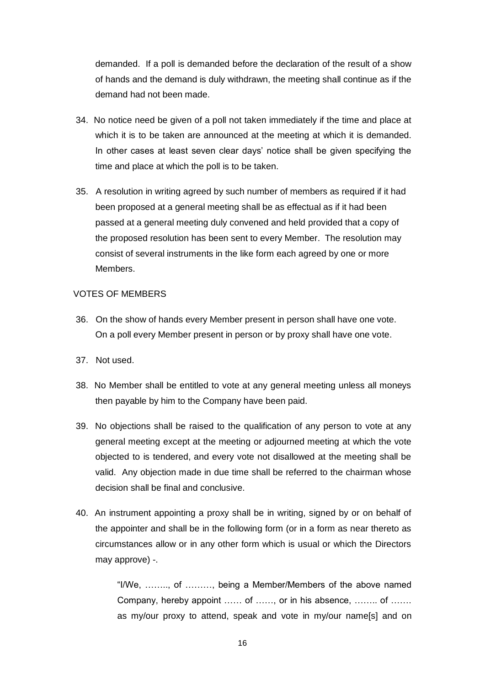demanded. If a poll is demanded before the declaration of the result of a show of hands and the demand is duly withdrawn, the meeting shall continue as if the demand had not been made.

- 34. No notice need be given of a poll not taken immediately if the time and place at which it is to be taken are announced at the meeting at which it is demanded. In other cases at least seven clear days' notice shall be given specifying the time and place at which the poll is to be taken.
- 35. A resolution in writing agreed by such number of members as required if it had been proposed at a general meeting shall be as effectual as if it had been passed at a general meeting duly convened and held provided that a copy of the proposed resolution has been sent to every Member. The resolution may consist of several instruments in the like form each agreed by one or more Members.

### VOTES OF MEMBERS

- 36. On the show of hands every Member present in person shall have one vote. On a poll every Member present in person or by proxy shall have one vote.
- 37. Not used.
- 38. No Member shall be entitled to vote at any general meeting unless all moneys then payable by him to the Company have been paid.
- 39. No objections shall be raised to the qualification of any person to vote at any general meeting except at the meeting or adjourned meeting at which the vote objected to is tendered, and every vote not disallowed at the meeting shall be valid. Any objection made in due time shall be referred to the chairman whose decision shall be final and conclusive.
- 40. An instrument appointing a proxy shall be in writing, signed by or on behalf of the appointer and shall be in the following form (or in a form as near thereto as circumstances allow or in any other form which is usual or which the Directors may approve) -.

"I/We, …….., of ………, being a Member/Members of the above named Company, hereby appoint …… of ……, or in his absence, …….. of ……. as my/our proxy to attend, speak and vote in my/our name[s] and on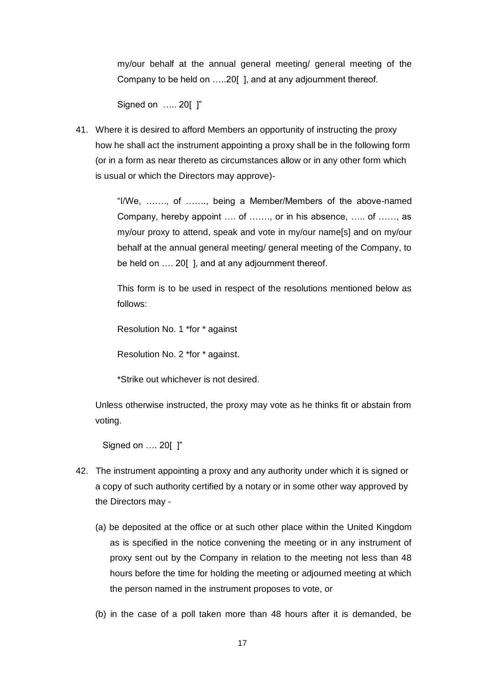my/our behalf at the annual general meeting/ general meeting of the Company to be held on …..20[ ], and at any adjournment thereof.

Signed on ….. 20[ ]"

41. Where it is desired to afford Members an opportunity of instructing the proxy how he shall act the instrument appointing a proxy shall be in the following form (or in a form as near thereto as circumstances allow or in any other form which is usual or which the Directors may approve)-

> "I/We, ……., of ……., being a Member/Members of the above-named Company, hereby appoint …. of ……., or in his absence, ….. of ……, as my/our proxy to attend, speak and vote in my/our name[s] and on my/our behalf at the annual general meeting/ general meeting of the Company, to be held on .... 20[ ], and at any adjournment thereof.

> This form is to be used in respect of the resolutions mentioned below as follows:

Resolution No. 1 \*for \* against

Resolution No. 2 \*for \* against.

\*Strike out whichever is not desired.

Unless otherwise instructed, the proxy may vote as he thinks fit or abstain from voting.

Signed on …. 20[ ]"

- 42. The instrument appointing a proxy and any authority under which it is signed or a copy of such authority certified by a notary or in some other way approved by the Directors may -
	- (a) be deposited at the office or at such other place within the United Kingdom as is specified in the notice convening the meeting or in any instrument of proxy sent out by the Company in relation to the meeting not less than 48 hours before the time for holding the meeting or adjourned meeting at which the person named in the instrument proposes to vote, or
	- (b) in the case of a poll taken more than 48 hours after it is demanded, be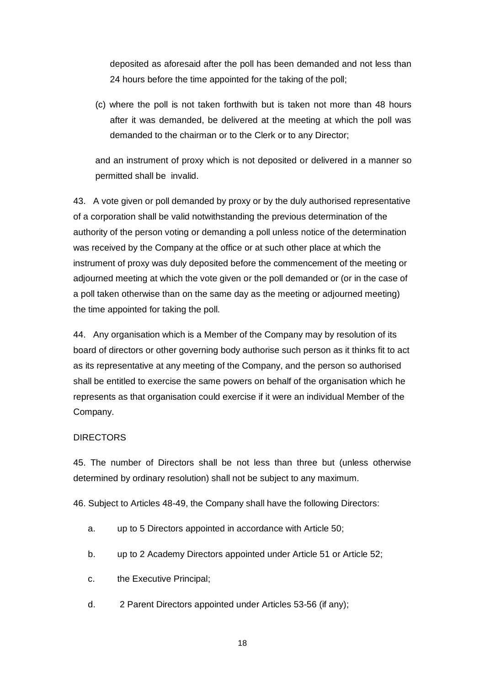deposited as aforesaid after the poll has been demanded and not less than 24 hours before the time appointed for the taking of the poll;

(c) where the poll is not taken forthwith but is taken not more than 48 hours after it was demanded, be delivered at the meeting at which the poll was demanded to the chairman or to the Clerk or to any Director;

and an instrument of proxy which is not deposited or delivered in a manner so permitted shall be invalid.

43. A vote given or poll demanded by proxy or by the duly authorised representative of a corporation shall be valid notwithstanding the previous determination of the authority of the person voting or demanding a poll unless notice of the determination was received by the Company at the office or at such other place at which the instrument of proxy was duly deposited before the commencement of the meeting or adjourned meeting at which the vote given or the poll demanded or (or in the case of a poll taken otherwise than on the same day as the meeting or adjourned meeting) the time appointed for taking the poll.

44. Any organisation which is a Member of the Company may by resolution of its board of directors or other governing body authorise such person as it thinks fit to act as its representative at any meeting of the Company, and the person so authorised shall be entitled to exercise the same powers on behalf of the organisation which he represents as that organisation could exercise if it were an individual Member of the Company.

### DIRECTORS

45. The number of Directors shall be not less than three but (unless otherwise determined by ordinary resolution) shall not be subject to any maximum.

46. Subject to Articles 48-49, the Company shall have the following Directors:

- a. up to 5 Directors appointed in accordance with Article 50;
- b. up to 2 Academy Directors appointed under Article 51 or Article 52;
- c. the Executive Principal;
- d. 2 Parent Directors appointed under Articles 53-56 (if any);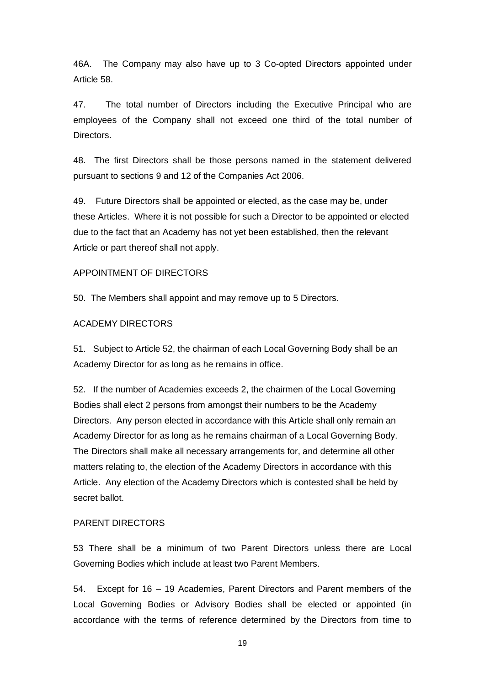46A. The Company may also have up to 3 Co-opted Directors appointed under Article 58.

47. The total number of Directors including the Executive Principal who are employees of the Company shall not exceed one third of the total number of Directors.

48. The first Directors shall be those persons named in the statement delivered pursuant to sections 9 and 12 of the Companies Act 2006.

49. Future Directors shall be appointed or elected, as the case may be, under these Articles. Where it is not possible for such a Director to be appointed or elected due to the fact that an Academy has not yet been established, then the relevant Article or part thereof shall not apply.

#### APPOINTMENT OF DIRECTORS

50. The Members shall appoint and may remove up to 5 Directors.

#### ACADEMY DIRECTORS

51. Subject to Article 52, the chairman of each Local Governing Body shall be an Academy Director for as long as he remains in office.

52. If the number of Academies exceeds 2, the chairmen of the Local Governing Bodies shall elect 2 persons from amongst their numbers to be the Academy Directors. Any person elected in accordance with this Article shall only remain an Academy Director for as long as he remains chairman of a Local Governing Body. The Directors shall make all necessary arrangements for, and determine all other matters relating to, the election of the Academy Directors in accordance with this Article. Any election of the Academy Directors which is contested shall be held by secret ballot.

#### PARENT DIRECTORS

53 There shall be a minimum of two Parent Directors unless there are Local Governing Bodies which include at least two Parent Members.

54. Except for 16 – 19 Academies, Parent Directors and Parent members of the Local Governing Bodies or Advisory Bodies shall be elected or appointed (in accordance with the terms of reference determined by the Directors from time to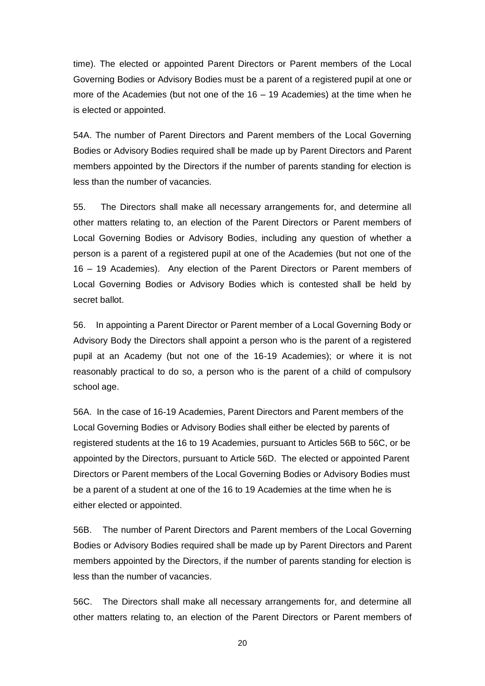time). The elected or appointed Parent Directors or Parent members of the Local Governing Bodies or Advisory Bodies must be a parent of a registered pupil at one or more of the Academies (but not one of the  $16 - 19$  Academies) at the time when he is elected or appointed.

54A. The number of Parent Directors and Parent members of the Local Governing Bodies or Advisory Bodies required shall be made up by Parent Directors and Parent members appointed by the Directors if the number of parents standing for election is less than the number of vacancies.

55. The Directors shall make all necessary arrangements for, and determine all other matters relating to, an election of the Parent Directors or Parent members of Local Governing Bodies or Advisory Bodies, including any question of whether a person is a parent of a registered pupil at one of the Academies (but not one of the 16 – 19 Academies). Any election of the Parent Directors or Parent members of Local Governing Bodies or Advisory Bodies which is contested shall be held by secret ballot.

56. In appointing a Parent Director or Parent member of a Local Governing Body or Advisory Body the Directors shall appoint a person who is the parent of a registered pupil at an Academy (but not one of the 16-19 Academies); or where it is not reasonably practical to do so, a person who is the parent of a child of compulsory school age.

56A. In the case of 16-19 Academies, Parent Directors and Parent members of the Local Governing Bodies or Advisory Bodies shall either be elected by parents of registered students at the 16 to 19 Academies, pursuant to Articles 56B to 56C, or be appointed by the Directors, pursuant to Article 56D. The elected or appointed Parent Directors or Parent members of the Local Governing Bodies or Advisory Bodies must be a parent of a student at one of the 16 to 19 Academies at the time when he is either elected or appointed.

56B. The number of Parent Directors and Parent members of the Local Governing Bodies or Advisory Bodies required shall be made up by Parent Directors and Parent members appointed by the Directors, if the number of parents standing for election is less than the number of vacancies.

56C. The Directors shall make all necessary arrangements for, and determine all other matters relating to, an election of the Parent Directors or Parent members of

20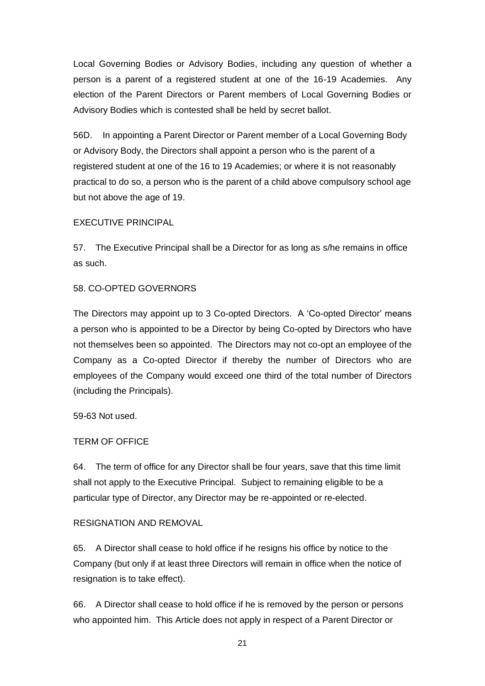Local Governing Bodies or Advisory Bodies, including any question of whether a person is a parent of a registered student at one of the 16-19 Academies. Any election of the Parent Directors or Parent members of Local Governing Bodies or Advisory Bodies which is contested shall be held by secret ballot.

56D. In appointing a Parent Director or Parent member of a Local Governing Body or Advisory Body, the Directors shall appoint a person who is the parent of a registered student at one of the 16 to 19 Academies; or where it is not reasonably practical to do so, a person who is the parent of a child above compulsory school age but not above the age of 19.

### EXECUTIVE PRINCIPAL

57. The Executive Principal shall be a Director for as long as s/he remains in office as such.

### 58. CO-OPTED GOVERNORS

The Directors may appoint up to 3 Co-opted Directors. A 'Co-opted Director' means a person who is appointed to be a Director by being Co-opted by Directors who have not themselves been so appointed. The Directors may not co-opt an employee of the Company as a Co-opted Director if thereby the number of Directors who are employees of the Company would exceed one third of the total number of Directors (including the Principals).

59-63 Not used.

# TERM OF OFFICE

64. The term of office for any Director shall be four years, save that this time limit shall not apply to the Executive Principal. Subject to remaining eligible to be a particular type of Director, any Director may be re-appointed or re-elected.

### RESIGNATION AND REMOVAL

65. A Director shall cease to hold office if he resigns his office by notice to the Company (but only if at least three Directors will remain in office when the notice of resignation is to take effect).

66. A Director shall cease to hold office if he is removed by the person or persons who appointed him. This Article does not apply in respect of a Parent Director or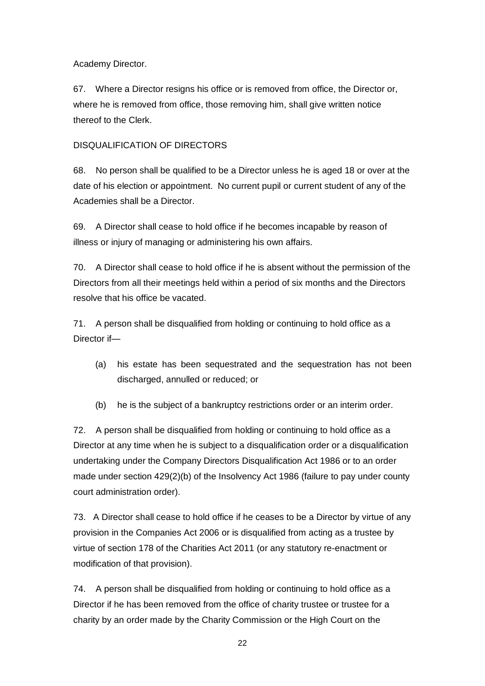## Academy Director.

67. Where a Director resigns his office or is removed from office, the Director or, where he is removed from office, those removing him, shall give written notice thereof to the Clerk.

# DISQUALIFICATION OF DIRECTORS

68. No person shall be qualified to be a Director unless he is aged 18 or over at the date of his election or appointment. No current pupil or current student of any of the Academies shall be a Director.

69. A Director shall cease to hold office if he becomes incapable by reason of illness or injury of managing or administering his own affairs.

70. A Director shall cease to hold office if he is absent without the permission of the Directors from all their meetings held within a period of six months and the Directors resolve that his office be vacated.

71. A person shall be disqualified from holding or continuing to hold office as a Director if—

- (a) his estate has been sequestrated and the sequestration has not been discharged, annulled or reduced; or
- (b) he is the subject of a bankruptcy restrictions order or an interim order.

72. A person shall be disqualified from holding or continuing to hold office as a Director at any time when he is subject to a disqualification order or a disqualification undertaking under the Company Directors Disqualification Act 1986 or to an order made under section 429(2)(b) of the Insolvency Act 1986 (failure to pay under county court administration order).

73. A Director shall cease to hold office if he ceases to be a Director by virtue of any provision in the Companies Act 2006 or is disqualified from acting as a trustee by virtue of section 178 of the Charities Act 2011 (or any statutory re-enactment or modification of that provision).

74. A person shall be disqualified from holding or continuing to hold office as a Director if he has been removed from the office of charity trustee or trustee for a charity by an order made by the Charity Commission or the High Court on the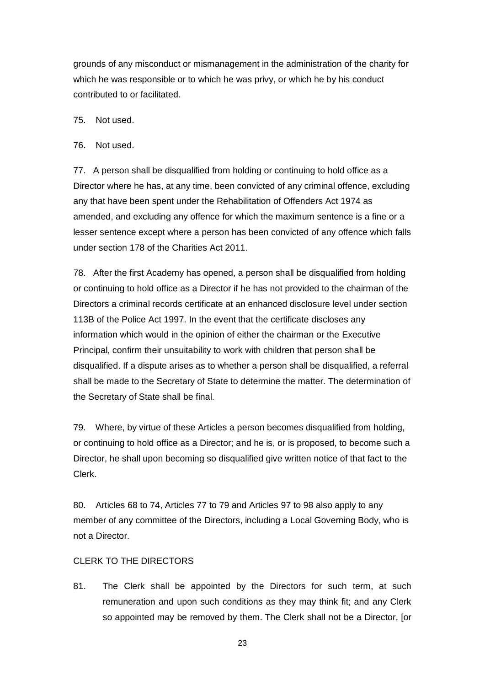grounds of any misconduct or mismanagement in the administration of the charity for which he was responsible or to which he was privy, or which he by his conduct contributed to or facilitated.

75. Not used.

76. Not used.

77. A person shall be disqualified from holding or continuing to hold office as a Director where he has, at any time, been convicted of any criminal offence, excluding any that have been spent under the Rehabilitation of Offenders Act 1974 as amended, and excluding any offence for which the maximum sentence is a fine or a lesser sentence except where a person has been convicted of any offence which falls under section 178 of the Charities Act 2011.

78. After the first Academy has opened, a person shall be disqualified from holding or continuing to hold office as a Director if he has not provided to the chairman of the Directors a criminal records certificate at an enhanced disclosure level under section 113B of the Police Act 1997. In the event that the certificate discloses any information which would in the opinion of either the chairman or the Executive Principal, confirm their unsuitability to work with children that person shall be disqualified. If a dispute arises as to whether a person shall be disqualified, a referral shall be made to the Secretary of State to determine the matter. The determination of the Secretary of State shall be final.

79. Where, by virtue of these Articles a person becomes disqualified from holding, or continuing to hold office as a Director; and he is, or is proposed, to become such a Director, he shall upon becoming so disqualified give written notice of that fact to the Clerk.

80. Articles 68 to 74, Articles 77 to 79 and Articles 97 to 98 also apply to any member of any committee of the Directors, including a Local Governing Body, who is not a Director.

# CLERK TO THE DIRECTORS

81. The Clerk shall be appointed by the Directors for such term, at such remuneration and upon such conditions as they may think fit; and any Clerk so appointed may be removed by them. The Clerk shall not be a Director, [or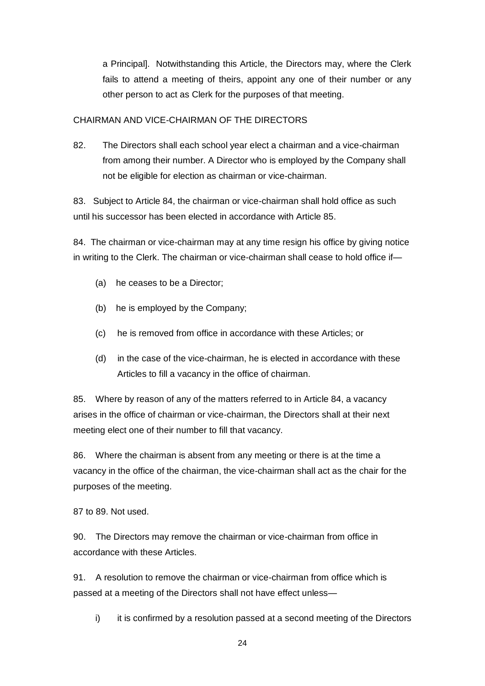a Principal]. Notwithstanding this Article, the Directors may, where the Clerk fails to attend a meeting of theirs, appoint any one of their number or any other person to act as Clerk for the purposes of that meeting.

### CHAIRMAN AND VICE-CHAIRMAN OF THE DIRECTORS

82. The Directors shall each school year elect a chairman and a vice-chairman from among their number. A Director who is employed by the Company shall not be eligible for election as chairman or vice-chairman.

83. Subject to Article 84, the chairman or vice-chairman shall hold office as such until his successor has been elected in accordance with Article 85.

84. The chairman or vice-chairman may at any time resign his office by giving notice in writing to the Clerk. The chairman or vice-chairman shall cease to hold office if—

- (a) he ceases to be a Director;
- (b) he is employed by the Company;
- (c) he is removed from office in accordance with these Articles; or
- (d) in the case of the vice-chairman, he is elected in accordance with these Articles to fill a vacancy in the office of chairman.

85. Where by reason of any of the matters referred to in Article 84, a vacancy arises in the office of chairman or vice-chairman, the Directors shall at their next meeting elect one of their number to fill that vacancy.

86. Where the chairman is absent from any meeting or there is at the time a vacancy in the office of the chairman, the vice-chairman shall act as the chair for the purposes of the meeting.

87 to 89. Not used.

90. The Directors may remove the chairman or vice-chairman from office in accordance with these Articles.

91. A resolution to remove the chairman or vice-chairman from office which is passed at a meeting of the Directors shall not have effect unless—

i) it is confirmed by a resolution passed at a second meeting of the Directors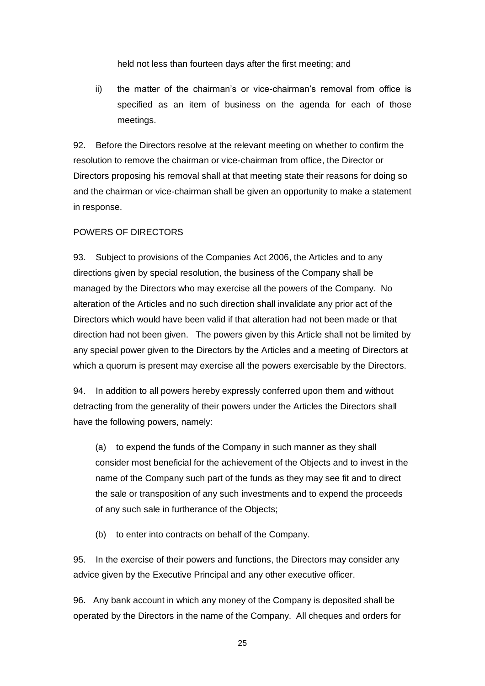held not less than fourteen days after the first meeting; and

ii) the matter of the chairman's or vice-chairman's removal from office is specified as an item of business on the agenda for each of those meetings.

92. Before the Directors resolve at the relevant meeting on whether to confirm the resolution to remove the chairman or vice-chairman from office, the Director or Directors proposing his removal shall at that meeting state their reasons for doing so and the chairman or vice-chairman shall be given an opportunity to make a statement in response.

#### POWERS OF DIRECTORS

93. Subject to provisions of the Companies Act 2006, the Articles and to any directions given by special resolution, the business of the Company shall be managed by the Directors who may exercise all the powers of the Company. No alteration of the Articles and no such direction shall invalidate any prior act of the Directors which would have been valid if that alteration had not been made or that direction had not been given. The powers given by this Article shall not be limited by any special power given to the Directors by the Articles and a meeting of Directors at which a quorum is present may exercise all the powers exercisable by the Directors.

94. In addition to all powers hereby expressly conferred upon them and without detracting from the generality of their powers under the Articles the Directors shall have the following powers, namely:

(a) to expend the funds of the Company in such manner as they shall consider most beneficial for the achievement of the Objects and to invest in the name of the Company such part of the funds as they may see fit and to direct the sale or transposition of any such investments and to expend the proceeds of any such sale in furtherance of the Objects;

(b) to enter into contracts on behalf of the Company.

95. In the exercise of their powers and functions, the Directors may consider any advice given by the Executive Principal and any other executive officer.

96. Any bank account in which any money of the Company is deposited shall be operated by the Directors in the name of the Company. All cheques and orders for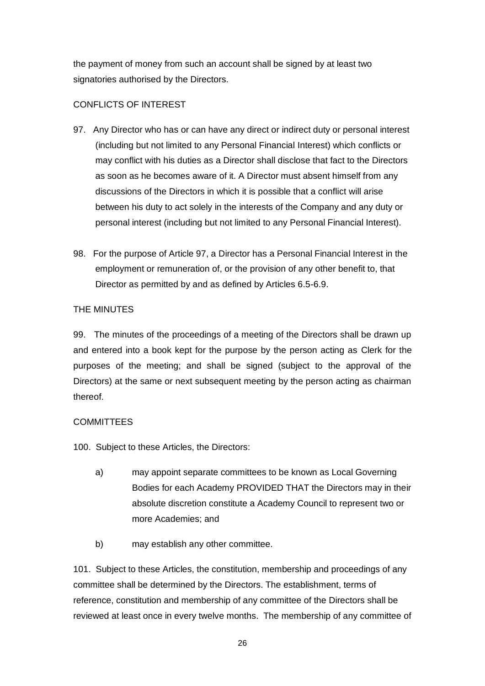the payment of money from such an account shall be signed by at least two signatories authorised by the Directors.

# CONFLICTS OF INTEREST

- 97. Any Director who has or can have any direct or indirect duty or personal interest (including but not limited to any Personal Financial Interest) which conflicts or may conflict with his duties as a Director shall disclose that fact to the Directors as soon as he becomes aware of it. A Director must absent himself from any discussions of the Directors in which it is possible that a conflict will arise between his duty to act solely in the interests of the Company and any duty or personal interest (including but not limited to any Personal Financial Interest).
- 98. For the purpose of Article 97, a Director has a Personal Financial Interest in the employment or remuneration of, or the provision of any other benefit to, that Director as permitted by and as defined by Articles 6.5-6.9.

# THE MINUTES

99. The minutes of the proceedings of a meeting of the Directors shall be drawn up and entered into a book kept for the purpose by the person acting as Clerk for the purposes of the meeting; and shall be signed (subject to the approval of the Directors) at the same or next subsequent meeting by the person acting as chairman thereof.

# **COMMITTEES**

100. Subject to these Articles, the Directors:

- a) may appoint separate committees to be known as Local Governing Bodies for each Academy PROVIDED THAT the Directors may in their absolute discretion constitute a Academy Council to represent two or more Academies; and
- b) may establish any other committee.

101. Subject to these Articles, the constitution, membership and proceedings of any committee shall be determined by the Directors. The establishment, terms of reference, constitution and membership of any committee of the Directors shall be reviewed at least once in every twelve months. The membership of any committee of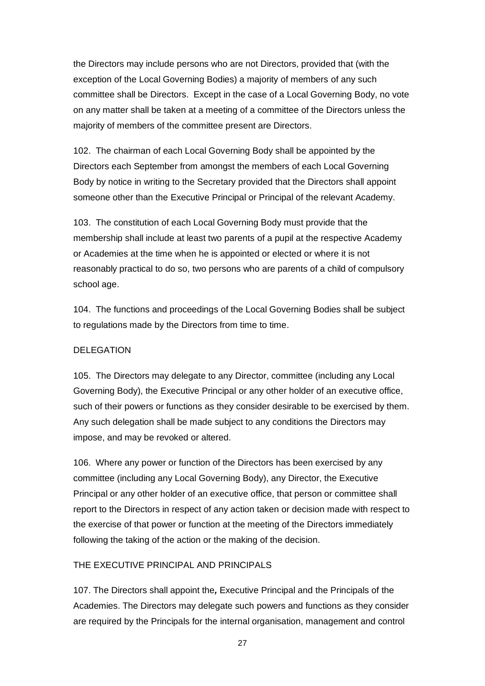the Directors may include persons who are not Directors, provided that (with the exception of the Local Governing Bodies) a majority of members of any such committee shall be Directors. Except in the case of a Local Governing Body, no vote on any matter shall be taken at a meeting of a committee of the Directors unless the majority of members of the committee present are Directors.

102. The chairman of each Local Governing Body shall be appointed by the Directors each September from amongst the members of each Local Governing Body by notice in writing to the Secretary provided that the Directors shall appoint someone other than the Executive Principal or Principal of the relevant Academy.

103. The constitution of each Local Governing Body must provide that the membership shall include at least two parents of a pupil at the respective Academy or Academies at the time when he is appointed or elected or where it is not reasonably practical to do so, two persons who are parents of a child of compulsory school age.

104. The functions and proceedings of the Local Governing Bodies shall be subject to regulations made by the Directors from time to time.

### DELEGATION

105. The Directors may delegate to any Director, committee (including any Local Governing Body), the Executive Principal or any other holder of an executive office, such of their powers or functions as they consider desirable to be exercised by them. Any such delegation shall be made subject to any conditions the Directors may impose, and may be revoked or altered.

106. Where any power or function of the Directors has been exercised by any committee (including any Local Governing Body), any Director, the Executive Principal or any other holder of an executive office, that person or committee shall report to the Directors in respect of any action taken or decision made with respect to the exercise of that power or function at the meeting of the Directors immediately following the taking of the action or the making of the decision.

#### THE EXECUTIVE PRINCIPAL AND PRINCIPALS

107. The Directors shall appoint the*,* Executive Principal and the Principals of the Academies. The Directors may delegate such powers and functions as they consider are required by the Principals for the internal organisation, management and control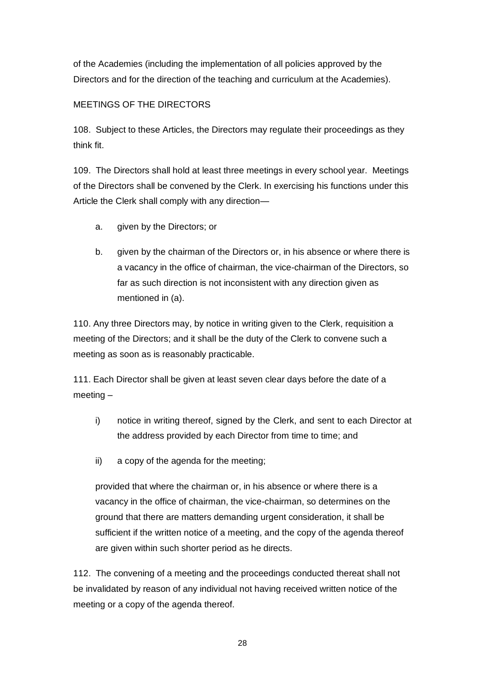of the Academies (including the implementation of all policies approved by the Directors and for the direction of the teaching and curriculum at the Academies).

# MEETINGS OF THE DIRECTORS

108. Subject to these Articles, the Directors may regulate their proceedings as they think fit.

109. The Directors shall hold at least three meetings in every school year. Meetings of the Directors shall be convened by the Clerk. In exercising his functions under this Article the Clerk shall comply with any direction—

- a. given by the Directors; or
- b. given by the chairman of the Directors or, in his absence or where there is a vacancy in the office of chairman, the vice-chairman of the Directors, so far as such direction is not inconsistent with any direction given as mentioned in (a).

110. Any three Directors may, by notice in writing given to the Clerk, requisition a meeting of the Directors; and it shall be the duty of the Clerk to convene such a meeting as soon as is reasonably practicable.

111. Each Director shall be given at least seven clear days before the date of a meeting –

- i) notice in writing thereof, signed by the Clerk, and sent to each Director at the address provided by each Director from time to time; and
- ii) a copy of the agenda for the meeting;

provided that where the chairman or, in his absence or where there is a vacancy in the office of chairman, the vice-chairman, so determines on the ground that there are matters demanding urgent consideration, it shall be sufficient if the written notice of a meeting, and the copy of the agenda thereof are given within such shorter period as he directs.

112. The convening of a meeting and the proceedings conducted thereat shall not be invalidated by reason of any individual not having received written notice of the meeting or a copy of the agenda thereof.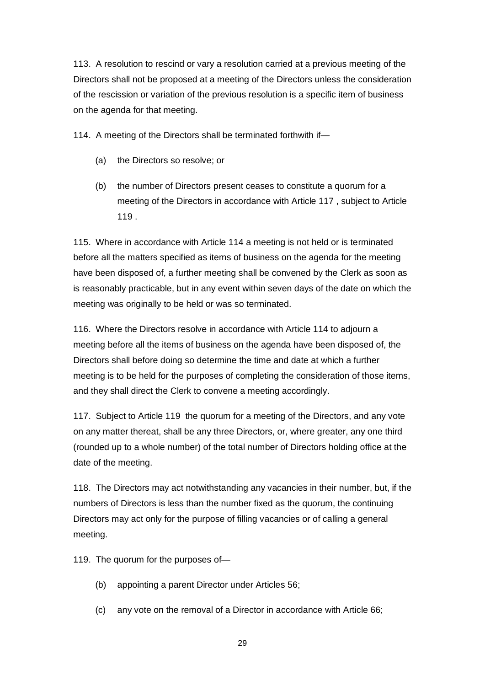113. A resolution to rescind or vary a resolution carried at a previous meeting of the Directors shall not be proposed at a meeting of the Directors unless the consideration of the rescission or variation of the previous resolution is a specific item of business on the agenda for that meeting.

114. A meeting of the Directors shall be terminated forthwith if—

- (a) the Directors so resolve; or
- (b) the number of Directors present ceases to constitute a quorum for a meeting of the Directors in accordance with Article 117 , subject to Article 119 .

115. Where in accordance with Article 114 a meeting is not held or is terminated before all the matters specified as items of business on the agenda for the meeting have been disposed of, a further meeting shall be convened by the Clerk as soon as is reasonably practicable, but in any event within seven days of the date on which the meeting was originally to be held or was so terminated.

116. Where the Directors resolve in accordance with Article 114 to adjourn a meeting before all the items of business on the agenda have been disposed of, the Directors shall before doing so determine the time and date at which a further meeting is to be held for the purposes of completing the consideration of those items, and they shall direct the Clerk to convene a meeting accordingly.

117. Subject to Article 119 the quorum for a meeting of the Directors, and any vote on any matter thereat, shall be any three Directors, or, where greater, any one third (rounded up to a whole number) of the total number of Directors holding office at the date of the meeting.

118. The Directors may act notwithstanding any vacancies in their number, but, if the numbers of Directors is less than the number fixed as the quorum, the continuing Directors may act only for the purpose of filling vacancies or of calling a general meeting.

119. The quorum for the purposes of—

- (b) appointing a parent Director under Articles 56;
- (c) any vote on the removal of a Director in accordance with Article 66;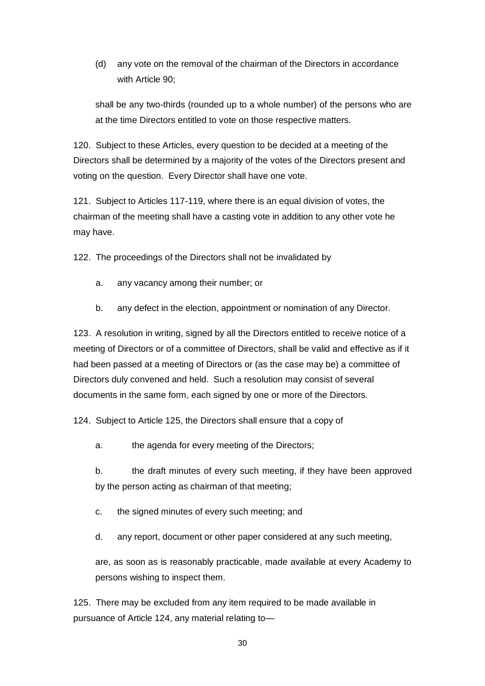(d) any vote on the removal of the chairman of the Directors in accordance with Article 90;

shall be any two-thirds (rounded up to a whole number) of the persons who are at the time Directors entitled to vote on those respective matters.

120. Subject to these Articles, every question to be decided at a meeting of the Directors shall be determined by a majority of the votes of the Directors present and voting on the question. Every Director shall have one vote.

121. Subject to Articles 117-119, where there is an equal division of votes, the chairman of the meeting shall have a casting vote in addition to any other vote he may have.

122. The proceedings of the Directors shall not be invalidated by

- a. any vacancy among their number; or
- b. any defect in the election, appointment or nomination of any Director.

123. A resolution in writing, signed by all the Directors entitled to receive notice of a meeting of Directors or of a committee of Directors, shall be valid and effective as if it had been passed at a meeting of Directors or (as the case may be) a committee of Directors duly convened and held. Such a resolution may consist of several documents in the same form, each signed by one or more of the Directors.

124. Subject to Article 125, the Directors shall ensure that a copy of

a. the agenda for every meeting of the Directors;

b. the draft minutes of every such meeting, if they have been approved by the person acting as chairman of that meeting;

c. the signed minutes of every such meeting; and

d. any report, document or other paper considered at any such meeting,

are, as soon as is reasonably practicable, made available at every Academy to persons wishing to inspect them.

125. There may be excluded from any item required to be made available in pursuance of Article 124, any material relating to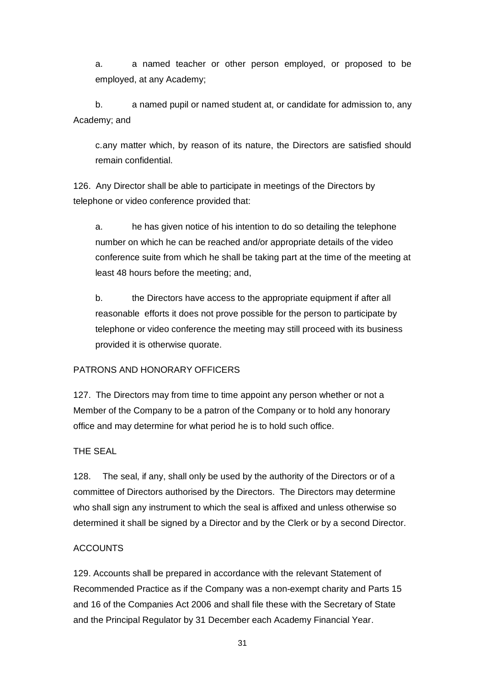a. a named teacher or other person employed, or proposed to be employed, at any Academy;

b. a named pupil or named student at, or candidate for admission to, any Academy; and

c.any matter which, by reason of its nature, the Directors are satisfied should remain confidential.

126. Any Director shall be able to participate in meetings of the Directors by telephone or video conference provided that:

a. he has given notice of his intention to do so detailing the telephone number on which he can be reached and/or appropriate details of the video conference suite from which he shall be taking part at the time of the meeting at least 48 hours before the meeting; and,

b. the Directors have access to the appropriate equipment if after all reasonable efforts it does not prove possible for the person to participate by telephone or video conference the meeting may still proceed with its business provided it is otherwise quorate.

# PATRONS AND HONORARY OFFICERS

127. The Directors may from time to time appoint any person whether or not a Member of the Company to be a patron of the Company or to hold any honorary office and may determine for what period he is to hold such office.

# THE SEAL

128. The seal, if any, shall only be used by the authority of the Directors or of a committee of Directors authorised by the Directors. The Directors may determine who shall sign any instrument to which the seal is affixed and unless otherwise so determined it shall be signed by a Director and by the Clerk or by a second Director.

### **ACCOUNTS**

129. Accounts shall be prepared in accordance with the relevant Statement of Recommended Practice as if the Company was a non-exempt charity and Parts 15 and 16 of the Companies Act 2006 and shall file these with the Secretary of State and the Principal Regulator by 31 December each Academy Financial Year.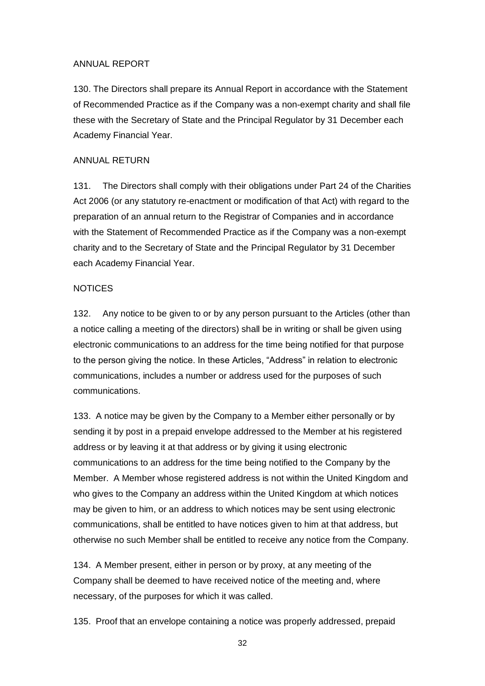### ANNUAL REPORT

130. The Directors shall prepare its Annual Report in accordance with the Statement of Recommended Practice as if the Company was a non-exempt charity and shall file these with the Secretary of State and the Principal Regulator by 31 December each Academy Financial Year.

### ANNUAL RETURN

131. The Directors shall comply with their obligations under Part 24 of the Charities Act 2006 (or any statutory re-enactment or modification of that Act) with regard to the preparation of an annual return to the Registrar of Companies and in accordance with the Statement of Recommended Practice as if the Company was a non-exempt charity and to the Secretary of State and the Principal Regulator by 31 December each Academy Financial Year.

### **NOTICES**

132. Any notice to be given to or by any person pursuant to the Articles (other than a notice calling a meeting of the directors) shall be in writing or shall be given using electronic communications to an address for the time being notified for that purpose to the person giving the notice. In these Articles, "Address" in relation to electronic communications, includes a number or address used for the purposes of such communications.

133. A notice may be given by the Company to a Member either personally or by sending it by post in a prepaid envelope addressed to the Member at his registered address or by leaving it at that address or by giving it using electronic communications to an address for the time being notified to the Company by the Member. A Member whose registered address is not within the United Kingdom and who gives to the Company an address within the United Kingdom at which notices may be given to him, or an address to which notices may be sent using electronic communications, shall be entitled to have notices given to him at that address, but otherwise no such Member shall be entitled to receive any notice from the Company.

134. A Member present, either in person or by proxy, at any meeting of the Company shall be deemed to have received notice of the meeting and, where necessary, of the purposes for which it was called.

135. Proof that an envelope containing a notice was properly addressed, prepaid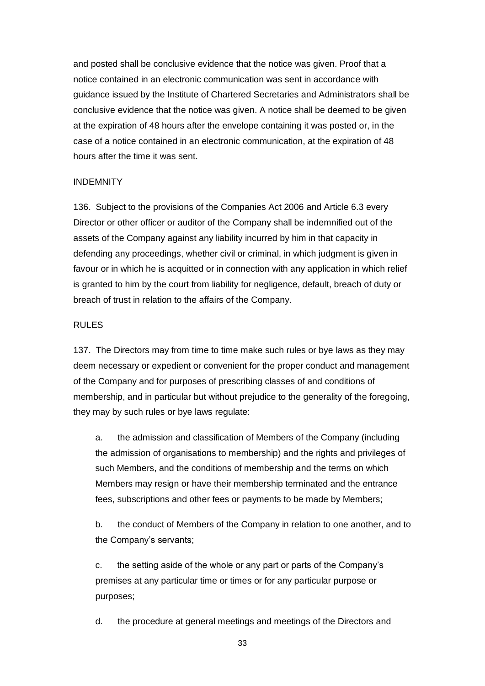and posted shall be conclusive evidence that the notice was given. Proof that a notice contained in an electronic communication was sent in accordance with guidance issued by the Institute of Chartered Secretaries and Administrators shall be conclusive evidence that the notice was given. A notice shall be deemed to be given at the expiration of 48 hours after the envelope containing it was posted or, in the case of a notice contained in an electronic communication, at the expiration of 48 hours after the time it was sent.

#### INDEMNITY

136. Subject to the provisions of the Companies Act 2006 and Article 6.3 every Director or other officer or auditor of the Company shall be indemnified out of the assets of the Company against any liability incurred by him in that capacity in defending any proceedings, whether civil or criminal, in which judgment is given in favour or in which he is acquitted or in connection with any application in which relief is granted to him by the court from liability for negligence, default, breach of duty or breach of trust in relation to the affairs of the Company.

#### RULES

137. The Directors may from time to time make such rules or bye laws as they may deem necessary or expedient or convenient for the proper conduct and management of the Company and for purposes of prescribing classes of and conditions of membership, and in particular but without prejudice to the generality of the foregoing, they may by such rules or bye laws regulate:

a. the admission and classification of Members of the Company (including the admission of organisations to membership) and the rights and privileges of such Members, and the conditions of membership and the terms on which Members may resign or have their membership terminated and the entrance fees, subscriptions and other fees or payments to be made by Members;

b. the conduct of Members of the Company in relation to one another, and to the Company's servants;

c. the setting aside of the whole or any part or parts of the Company's premises at any particular time or times or for any particular purpose or purposes;

d. the procedure at general meetings and meetings of the Directors and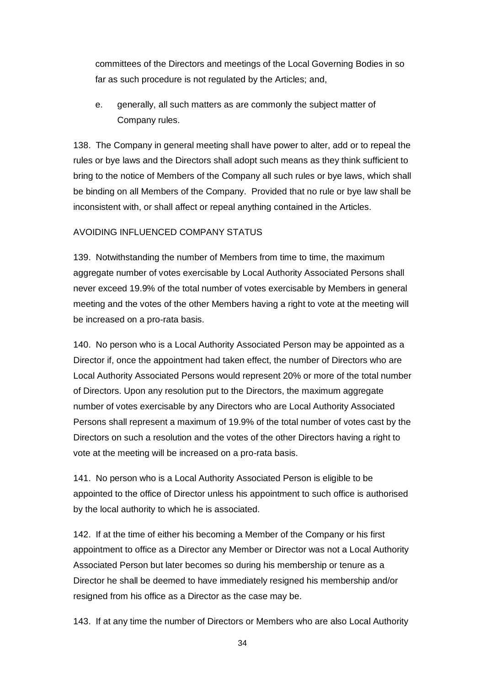committees of the Directors and meetings of the Local Governing Bodies in so far as such procedure is not regulated by the Articles; and,

e. generally, all such matters as are commonly the subject matter of Company rules.

138. The Company in general meeting shall have power to alter, add or to repeal the rules or bye laws and the Directors shall adopt such means as they think sufficient to bring to the notice of Members of the Company all such rules or bye laws, which shall be binding on all Members of the Company. Provided that no rule or bye law shall be inconsistent with, or shall affect or repeal anything contained in the Articles.

# AVOIDING INFLUENCED COMPANY STATUS

139. Notwithstanding the number of Members from time to time, the maximum aggregate number of votes exercisable by Local Authority Associated Persons shall never exceed 19.9% of the total number of votes exercisable by Members in general meeting and the votes of the other Members having a right to vote at the meeting will be increased on a pro-rata basis.

140. No person who is a Local Authority Associated Person may be appointed as a Director if, once the appointment had taken effect, the number of Directors who are Local Authority Associated Persons would represent 20% or more of the total number of Directors. Upon any resolution put to the Directors, the maximum aggregate number of votes exercisable by any Directors who are Local Authority Associated Persons shall represent a maximum of 19.9% of the total number of votes cast by the Directors on such a resolution and the votes of the other Directors having a right to vote at the meeting will be increased on a pro-rata basis.

141. No person who is a Local Authority Associated Person is eligible to be appointed to the office of Director unless his appointment to such office is authorised by the local authority to which he is associated.

142. If at the time of either his becoming a Member of the Company or his first appointment to office as a Director any Member or Director was not a Local Authority Associated Person but later becomes so during his membership or tenure as a Director he shall be deemed to have immediately resigned his membership and/or resigned from his office as a Director as the case may be.

143. If at any time the number of Directors or Members who are also Local Authority